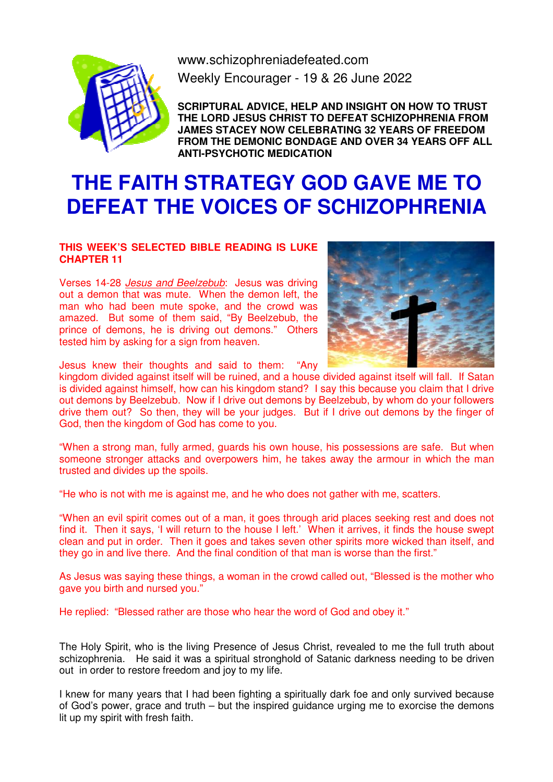## www.schizophreniadefeated.com Weekly Encourager Encourager - 19 & 26 June 2022



**SCRIPTURAL ADVICE, HELP AND INSIGHT ON HOW TO TRUST THE LORD JESUS CHRIST TO DEFEAT SCHIZ SCHIZOPHRENIA FROM JAMES STACEY NOW CELEBRATING 32 YEARS YEARS OF FREEDOM FROM THE DEMONIC BONDAGE AND OVER 3 34 YEARS OFF ALL ANTI ANTI-PSYCHOTIC MEDICATION** 

# **THE FAITH STRATEGY GOD GAVE ME TO DEFEAT THE VOICES OF SCHIZOPHRENIA**

## **THIS WEEK'S SELECTED BIBLE READING IS LUKE CHAPTER 11**

Verses 14-28 *Jesus and Beelzebub* : Jesus was driving out a demon that was mute. When the demon left, the man who had been mute spoke, and the crowd was amazed. But some of them said, "By Beelzebub, the prince of demons, he is driving out demons." Others tested him by asking for a sign from heaven. e. When the demon left, the<br>spoke, and the crowd was<br>em said, "By Beelzebub, the<br>driving out demons." Others<br>ign from heaven.<br>s and said to them: "Any



Jesus knew their thoughts and said to them: "Any

kingdom divided against itself will be ruined, and a house divided against itself will fall. If Satan is divided against himself, how can his kingdom stand? I say this because you claim that I drive out demons by Beelzebub. Now if I drive out demons by Beelzebub, by whom do your followers drive them out? So then, they will be your judges. But if I drive out demons by the finger of God, then the kingdom of God has come to you.

"When a strong man, fully armed, guards his own house, his possessions are safe. But when someone stronger attacks and overpowers him, he takes away the armour in which the man trusted and divides up the spoils.

"He who is not with me is against me, and he who does not gather with me, scatters.

"When an evil spirit comes out of a man, it goes through arid places seeking rest and does not find it. Then it says, 'I will return to the house I left.' When it arrives, it finds the house swept clean and put in order. Then it goes and takes seven other spirits more wicked than itself, and they go in and live there. And the final condition of that man is worse than the first."

As Jesus was saying these things, a woman in the crowd called out, "Blessed is the mother who gave you birth and nursed you."

He replied: "Blessed rather are those who hear the word of God and obey it."

The Holy Spirit, who is the living Presence of Jesus Christ, revealed to me the full truth about schizophrenia. He said it was a spiritual stronghold of Satanic darkness needing to be driven out in order to restore freedom and joy to my life. s more wicked than itself, and<br>rse than the first."<br>ut, "Blessed is the mother who<br>ind obey it."<br>aled to me the full truth about<br>darkness needing to be driven

I knew for many years that I had been fighting a spiritually dark foe and only survived because of God's power, grace and truth – but the inspired guidance urging me to exorcise the demons lit up my spirit with fresh faith.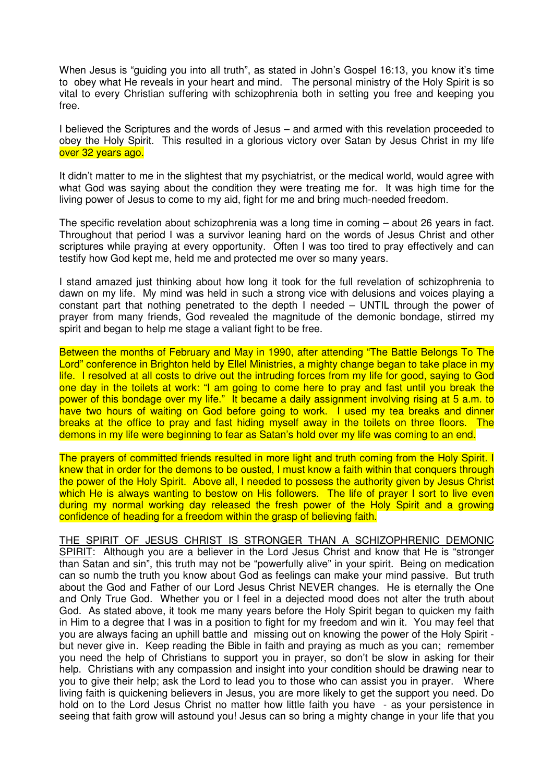When Jesus is "guiding you into all truth", as stated in John's Gospel 16:13, you know it's time to obey what He reveals in your heart and mind. The personal ministry of the Holy Spirit is so vital to every Christian suffering with schizophrenia both in setting you free and keeping you free.

I believed the Scriptures and the words of Jesus – and armed with this revelation proceeded to obey the Holy Spirit. This resulted in a glorious victory over Satan by Jesus Christ in my life over 32 years ago.

It didn't matter to me in the slightest that my psychiatrist, or the medical world, would agree with what God was saying about the condition they were treating me for. It was high time for the living power of Jesus to come to my aid, fight for me and bring much-needed freedom.

The specific revelation about schizophrenia was a long time in coming – about 26 years in fact. Throughout that period I was a survivor leaning hard on the words of Jesus Christ and other scriptures while praying at every opportunity. Often I was too tired to pray effectively and can testify how God kept me, held me and protected me over so many years.

I stand amazed just thinking about how long it took for the full revelation of schizophrenia to dawn on my life. My mind was held in such a strong vice with delusions and voices playing a constant part that nothing penetrated to the depth I needed – UNTIL through the power of prayer from many friends, God revealed the magnitude of the demonic bondage, stirred my spirit and began to help me stage a valiant fight to be free.

Between the months of February and May in 1990, after attending "The Battle Belongs To The Lord" conference in Brighton held by Ellel Ministries, a mighty change began to take place in my life. I resolved at all costs to drive out the intruding forces from my life for good, saying to God one day in the toilets at work: "I am going to come here to pray and fast until you break the power of this bondage over my life." It became a daily assignment involving rising at 5 a.m. to have two hours of waiting on God before going to work. I used my tea breaks and dinner breaks at the office to pray and fast hiding myself away in the toilets on three floors. The demons in my life were beginning to fear as Satan's hold over my life was coming to an end.

The prayers of committed friends resulted in more light and truth coming from the Holy Spirit. I knew that in order for the demons to be ousted, I must know a faith within that conquers through the power of the Holy Spirit. Above all, I needed to possess the authority given by Jesus Christ which He is always wanting to bestow on His followers. The life of prayer I sort to live even during my normal working day released the fresh power of the Holy Spirit and a growing confidence of heading for a freedom within the grasp of believing faith.

THE SPIRIT OF JESUS CHRIST IS STRONGER THAN A SCHIZOPHRENIC DEMONIC SPIRIT: Although you are a believer in the Lord Jesus Christ and know that He is "stronger than Satan and sin", this truth may not be "powerfully alive" in your spirit. Being on medication can so numb the truth you know about God as feelings can make your mind passive. But truth about the God and Father of our Lord Jesus Christ NEVER changes. He is eternally the One and Only True God. Whether you or I feel in a dejected mood does not alter the truth about God. As stated above, it took me many years before the Holy Spirit began to quicken my faith in Him to a degree that I was in a position to fight for my freedom and win it. You may feel that you are always facing an uphill battle and missing out on knowing the power of the Holy Spirit but never give in. Keep reading the Bible in faith and praying as much as you can; remember you need the help of Christians to support you in prayer, so don't be slow in asking for their help. Christians with any compassion and insight into your condition should be drawing near to you to give their help; ask the Lord to lead you to those who can assist you in prayer. Where living faith is quickening believers in Jesus, you are more likely to get the support you need. Do hold on to the Lord Jesus Christ no matter how little faith you have - as your persistence in seeing that faith grow will astound you! Jesus can so bring a mighty change in your life that you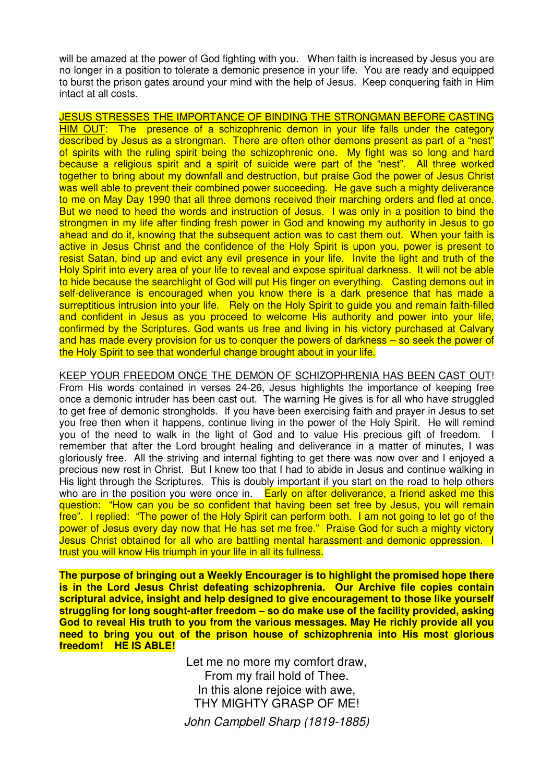will be amazed at the power of God fighting with you. When faith is increased by Jesus you are no longer in a position to tolerate a demonic presence in your life. You are ready and equipped to burst the prison gates around your mind with the help of Jesus. Keep conquering faith in Him intact at all costs.

JESUS STRESSES THE IMPORTANCE OF BINDING THE STRONGMAN BEFORE CASTING HIM OUT: The presence of a schizophrenic demon in your life falls under the category described by Jesus as a strongman. There are often other demons present as part of a "nest" of spirits with the ruling spirit being the schizophrenic one. My fight was so long and hard because a religious spirit and a spirit of suicide were part of the "nest". All three worked together to bring about my downfall and destruction, but praise God the power of Jesus Christ was well able to prevent their combined power succeeding. He gave such a mighty deliverance to me on May Day 1990 that all three demons received their marching orders and fled at once. But we need to heed the words and instruction of Jesus. I was only in a position to bind the strongmen in my life after finding fresh power in God and knowing my authority in Jesus to go ahead and do it, knowing that the subsequent action was to cast them out. When your faith is active in Jesus Christ and the confidence of the Holy Spirit is upon you, power is present to resist Satan, bind up and evict any evil presence in your life. Invite the light and truth of the Holy Spirit into every area of your life to reveal and expose spiritual darkness. It will not be able to hide because the searchlight of God will put His finger on everything. Casting demons out in self-deliverance is encouraged when you know there is a dark presence that has made a surreptitious intrusion into your life. Rely on the Holy Spirit to quide you and remain faith-filled and confident in Jesus as you proceed to welcome His authority and power into your life, confirmed by the Scriptures. God wants us free and living in his victory purchased at Calvary and has made every provision for us to conquer the powers of darkness – so seek the power of the Holy Spirit to see that wonderful change brought about in your life.

KEEP YOUR FREEDOM ONCE THE DEMON OF SCHIZOPHRENIA HAS BEEN CAST OUT! From His words contained in verses 24-26, Jesus highlights the importance of keeping free once a demonic intruder has been cast out. The warning He gives is for all who have struggled to get free of demonic strongholds. If you have been exercising faith and prayer in Jesus to set you free then when it happens, continue living in the power of the Holy Spirit. He will remind you of the need to walk in the light of God and to value His precious gift of freedom. I remember that after the Lord brought healing and deliverance in a matter of minutes, I was gloriously free. All the striving and internal fighting to get there was now over and I enjoyed a precious new rest in Christ. But I knew too that I had to abide in Jesus and continue walking in His light through the Scriptures. This is doubly important if you start on the road to help others who are in the position you were once in. Early on after deliverance, a friend asked me this question: "How can you be so confident that having been set free by Jesus, you will remain free". I replied: "The power of the Holy Spirit can perform both. I am not going to let go of the power of Jesus every day now that He has set me free." Praise God for such a mighty victory Jesus Christ obtained for all who are battling mental harassment and demonic oppression. I trust you will know His triumph in your life in all its fullness.

**The purpose of bringing out a Weekly Encourager is to highlight the promised hope there is in the Lord Jesus Christ defeating schizophrenia. Our Archive file copies contain scriptural advice, insight and help designed to give encouragement to those like yourself struggling for long sought-after freedom – so do make use of the facility provided, asking God to reveal His truth to you from the various messages. May He richly provide all you need to bring you out of the prison house of schizophrenia into His most glorious freedom! HE IS ABLE!** 

> Let me no more my comfort draw, From my frail hold of Thee. In this alone rejoice with awe, THY MIGHTY GRASP OF ME!

> *John Campbell Sharp (1819-1885)*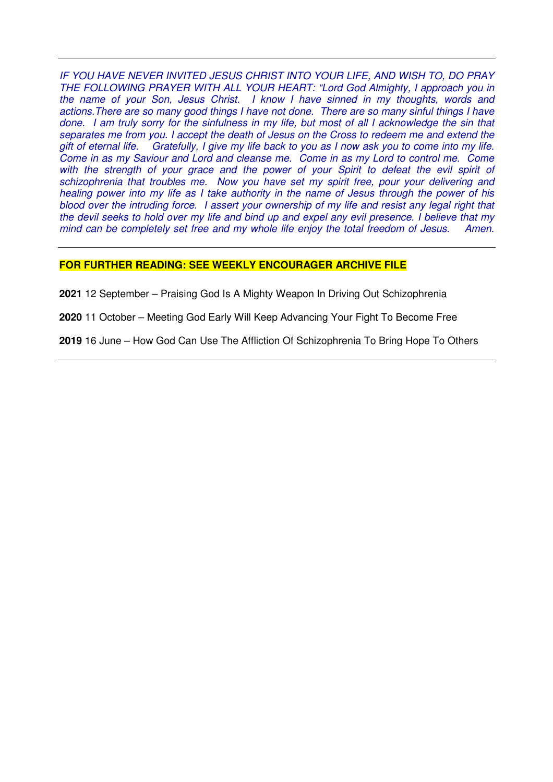*IF YOU HAVE NEVER INVITED JESUS CHRIST INTO YOUR LIFE, AND WISH TO, DO PRAY THE FOLLOWING PRAYER WITH ALL YOUR HEART: "Lord God Almighty, I approach you in the name of your Son, Jesus Christ. I know I have sinned in my thoughts, words and actions.There are so many good things I have not done. There are so many sinful things I have done. I am truly sorry for the sinfulness in my life, but most of all I acknowledge the sin that separates me from you. I accept the death of Jesus on the Cross to redeem me and extend the gift of eternal life. Gratefully, I give my life back to you as I now ask you to come into my life. Come in as my Saviour and Lord and cleanse me. Come in as my Lord to control me. Come*  with the strength of your grace and the power of your Spirit to defeat the evil spirit of *schizophrenia that troubles me. Now you have set my spirit free, pour your delivering and healing power into my life as I take authority in the name of Jesus through the power of his blood over the intruding force. I assert your ownership of my life and resist any legal right that the devil seeks to hold over my life and bind up and expel any evil presence. I believe that my mind can be completely set free and my whole life enjoy the total freedom of Jesus. Amen.* 

#### **FOR FURTHER READING: SEE WEEKLY ENCOURAGER ARCHIVE FILE**

**2021** 12 September – Praising God Is A Mighty Weapon In Driving Out Schizophrenia

**2020** 11 October – Meeting God Early Will Keep Advancing Your Fight To Become Free

**2019** 16 June – How God Can Use The Affliction Of Schizophrenia To Bring Hope To Others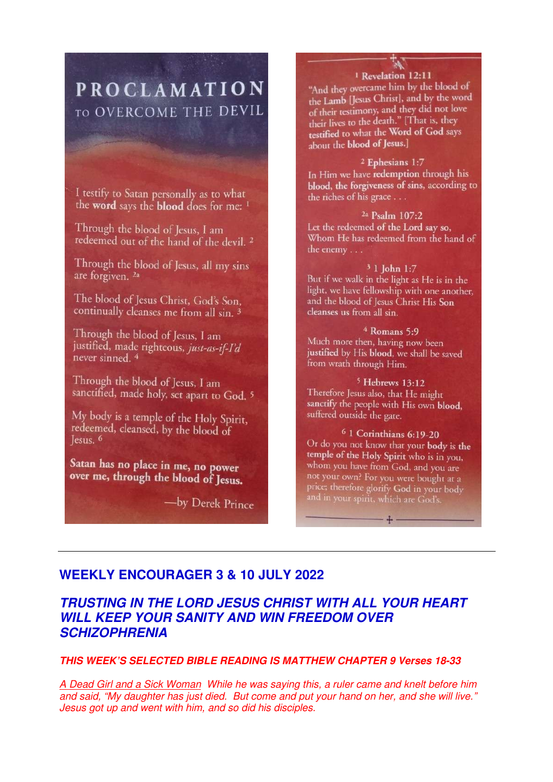## **PROCLAMATION** TO OVERCOME THE DEVIL

I testify to Satan personally as to what the word says the blood does for me: 1

Through the blood of Jesus, I am redeemed out of the hand of the devil.<sup>2</sup>

Through the blood of Jesus, all my sins are forgiven.<sup>2a</sup>

The blood of Jesus Christ, God's Son, continually cleanses me from all sin.<sup>3</sup>

Through the blood of Jesus, I am justified, made righteous, just-as-if-I'd never sinned. 4

Through the blood of Jesus, I am sanctified, made holy, set apart to God.<sup>5</sup>

My body is a temple of the Holy Spirit, redeemed, cleansed, by the blood of  $Iessus. 6$ 

Satan has no place in me, no power over me, through the blood of Jesus.

-by Derek Prince

#### <sup>1</sup> Revelation 12:11

"And they overcame him by the blood of the Lamb [Jesus Christ], and by the word of their testimony, and they did not love their lives to the death." [That is, they testified to what the Word of God says about the blood of Jesus.]

#### <sup>2</sup> Ephesians 1:7

In Him we have redemption through his blood, the forgiveness of sins, according to the riches of his grace . . .

#### <sup>2a</sup> Psalm 107:2

Let the redeemed of the Lord say so, Whom He has redeemed from the hand of the enemy . . .

#### 3 1 John 1:7

But if we walk in the light as He is in the light, we have fellowship with one another, and the blood of Jesus Christ His Son cleanses us from all sin.

#### <sup>4</sup> Romans 5:9

Much more then, having now been justified by His blood, we shall be saved from wrath through Him.

#### <sup>5</sup> Hebrews 13:12

Therefore Jesus also, that He might sanctify the people with His own blood, suffered outside the gate.

## <sup>6</sup> 1 Corinthians 6:19-20

Or do you not know that your body is the temple of the Holy Spirit who is in you, whom you have from God, and you are not your own? For you were bought at a price; therefore glorify God in your body and in your spirit, which are God's.

## **WEEKLY ENCOURAGER 3 & 10 JULY 2022**

## **TRUSTING IN THE LORD JESUS CHRIST WITH ALL YOUR HEART WILL KEEP YOUR SANITY AND WIN FREEDOM OVER SCHIZOPHRENIA**

#### THIS WEEK'S SELECTED BIBLE BEADING IS MATTHEW CHAPTER 9 Verses 18-33

A Dead Girl and a Sick Woman While he was saying this, a ruler came and knelt before him and said. "My daughter has just died. But come and put your hand on her, and she will live." Jesus got up and went with him, and so did his disciples.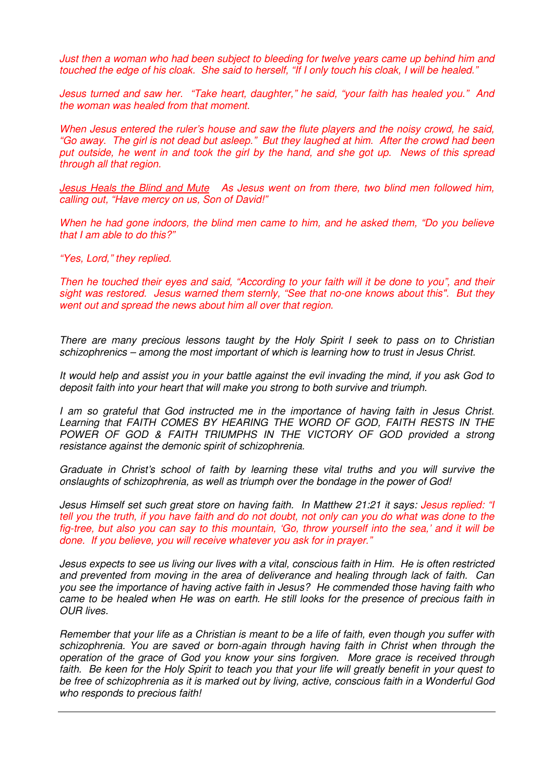*Just then a woman who had been subject to bleeding for twelve years came up behind him and touched the edge of his cloak. She said to herself, "If I only touch his cloak, I will be healed."* 

*Jesus turned and saw her. "Take heart, daughter," he said, "your faith has healed you." And the woman was healed from that moment.* 

*When Jesus entered the ruler's house and saw the flute players and the noisy crowd, he said, "Go away. The girl is not dead but asleep." But they laughed at him. After the crowd had been put outside, he went in and took the girl by the hand, and she got up. News of this spread through all that region.* 

*Jesus Heals the Blind and Mute As Jesus went on from there, two blind men followed him, calling out, "Have mercy on us, Son of David!"* 

*When he had gone indoors, the blind men came to him, and he asked them, "Do you believe that I am able to do this?"* 

*"Yes, Lord," they replied.* 

*Then he touched their eyes and said, "According to your faith will it be done to you", and their sight was restored. Jesus warned them sternly, "See that no-one knows about this". But they went out and spread the news about him all over that region.* 

*There are many precious lessons taught by the Holy Spirit I seek to pass on to Christian schizophrenics – among the most important of which is learning how to trust in Jesus Christ.* 

*It would help and assist you in your battle against the evil invading the mind, if you ask God to deposit faith into your heart that will make you strong to both survive and triumph.* 

*I am so grateful that God instructed me in the importance of having faith in Jesus Christ.* Learning that FAITH COMES BY HEARING THE WORD OF GOD, FAITH RESTS IN THE POWER OF GOD & FAITH TRIUMPHS IN THE VICTORY OF GOD provided a strong *resistance against the demonic spirit of schizophrenia.* 

*Graduate in Christ's school of faith by learning these vital truths and you will survive the onslaughts of schizophrenia, as well as triumph over the bondage in the power of God!* 

*Jesus Himself set such great store on having faith. In Matthew 21:21 it says: Jesus replied: "I tell you the truth, if you have faith and do not doubt, not only can you do what was done to the fig-tree, but also you can say to this mountain, 'Go, throw yourself into the sea,' and it will be done. If you believe, you will receive whatever you ask for in prayer."* 

*Jesus expects to see us living our lives with a vital, conscious faith in Him. He is often restricted and prevented from moving in the area of deliverance and healing through lack of faith. Can you see the importance of having active faith in Jesus? He commended those having faith who came to be healed when He was on earth. He still looks for the presence of precious faith in OUR lives.* 

*Remember that your life as a Christian is meant to be a life of faith, even though you suffer with schizophrenia. You are saved or born-again through having faith in Christ when through the operation of the grace of God you know your sins forgiven. More grace is received through faith. Be keen for the Holy Spirit to teach you that your life will greatly benefit in your quest to be free of schizophrenia as it is marked out by living, active, conscious faith in a Wonderful God who responds to precious faith!*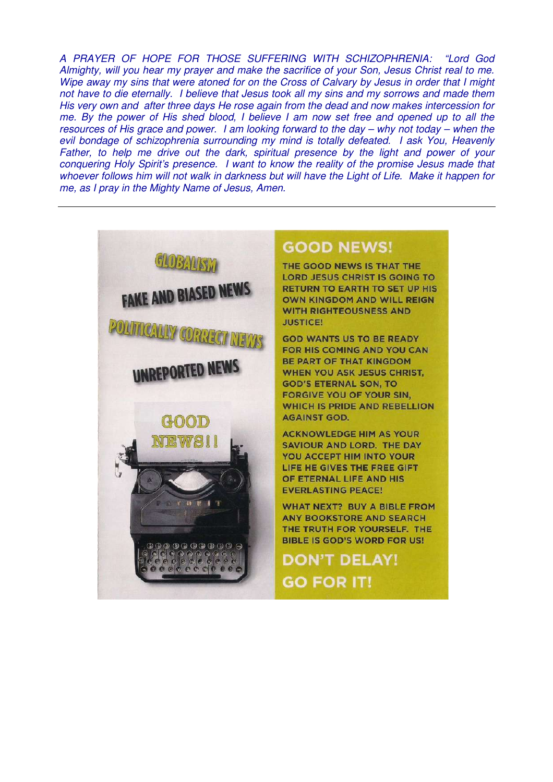A PRAYER OF HOPE FOR THOSE SUFFERING WITH SCHIZOPHRENIA: "I ord God Almighty, will you hear my prayer and make the sacrifice of your Son, Jesus Christ real to me. Wipe away my sins that were atoned for on the Cross of Calvary by Jesus in order that I might not have to die eternally. I believe that Jesus took all my sins and my sorrows and made them His very own and after three days He rose again from the dead and now makes intercession for me. By the power of His shed blood, I believe I am now set free and opened up to all the resources of His grace and power. I am looking forward to the day – why not today – when the evil bondage of schizophrenia surrounding my mind is totally defeated. I ask You, Heavenly Father, to help me drive out the dark, spiritual presence by the light and power of your conquering Holy Spirit's presence. I want to know the reality of the promise Jesus made that whoever follows him will not walk in darkness but will have the Light of Life. Make it happen for me, as I pray in the Mighty Name of Jesus, Amen.



## **GOOD NEWS!**

THE GOOD NEWS IS THAT THE **LORD JESUS CHRIST IS GOING TO RETURN TO EARTH TO SET UP HIS** OWN KINGDOM AND WILL REIGN **WITH RIGHTEOUSNESS AND JUSTICE!** 

**GOD WANTS US TO BE READY** FOR HIS COMING AND YOU CAN **BE PART OF THAT KINGDOM WHEN YOU ASK JESUS CHRIST. GOD'S ETERNAL SON, TO FORGIVE YOU OF YOUR SIN, WHICH IS PRIDE AND REBELLION AGAINST GOD.** 

**ACKNOWLEDGE HIM AS YOUR SAVIOUR AND LORD. THE DAY** YOU ACCEPT HIM INTO YOUR LIFE HE GIVES THE FREE GIFT OF ETERNAL LIFE AND HIS **EVERLASTING PEACE!** 

**WHAT NEXT? BUY A BIBLE FROM ANY BOOKSTORE AND SEARCH** THE TRUTH FOR YOURSELF. THE **BIBLE IS GOD'S WORD FOR US!** 

**DON'T DELAY! GO FOR IT!**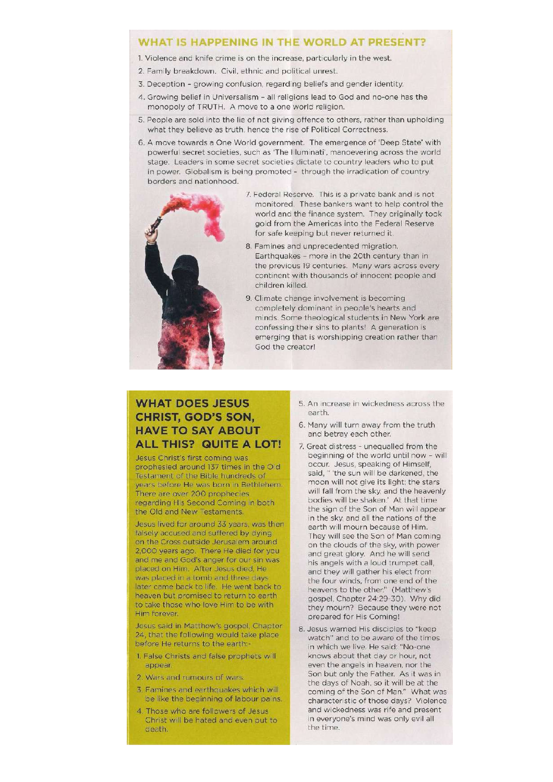#### **WHAT IS HAPPENING IN THE WORLD AT PRESENT?**

- 1. Violence and knife crime is on the increase, particularly in the west.
- 2. Family breakdown. Civil, ethnic and political unrest.
- 3. Deception growing confusion, regarding beliefs and gender identity.
- 4. Growing belief in Universalism all religions lead to God and no-one has the monopoly of TRUTH. A move to a one world religion.
- 5. People are sold into the lie of not giving offence to others, rather than upholding what they believe as truth, hence the rise of Political Correctness.
- 6. A move towards a One World government. The emergence of 'Deep State' with powerful secret societies, such as 'The Illuminati', manoevering across the world stage. Leaders in some secret societies dictate to country leaders who to put in power. Globalism is being promoted - through the irradication of country borders and nationhood.



- 7. Federal Reserve. This is a private bank and is not monitored. These bankers want to help control the world and the finance system. They originally took gold from the Americas into the Federal Reserve for safe keeping but never returned it.
- 8. Famines and unprecedented migration. Earthquakes - more in the 20th century than in the previous 19 centuries. Many wars across every continent with thousands of innocent people and children killed.
- 9. Climate change involvement is becoming completely dominant in people's hearts and minds. Some theological students in New York are confessing their sins to plants! A generation is emerging that is worshipping creation rather than God the creator!

## **WHAT DOES JESUS CHRIST, GOD'S SON, HAVE TO SAY ABOUT ALL THIS? QUITE A LOT!**

Jesus Christ's first coming was prophesied around 137 times in the Old Testament of the Bible hundreds of years before He was born in Bethlehem.<br>There are over 200 prophecies regarding His Second Coming in both the Old and New Testaments.

Jesus lived for around 33 years, was then falsely accused and suffered by dying on the Cross outside Jerusalem around 2,000 years ago. There He died for you and me and God's anger for our sin was placed on Him. After Jesus died. He was placed in a tomb and three days later came back to life. He went back to heaven but promised to return to earth to take those who love Him to be with Him forever.

Jesus said in Matthew's gospel, Chapter 24, that the following would take place before He returns to the earth:-

- 1. False Christs and false prophets will appear.
- 2. Wars and rumours of wars.
- 3. Famines and earthquakes which will be like the beginning of labour pains.
- 4. Those who are followers of Jesus Christ will be hated and even put to death.
- 5. An increase in wickedness across the earth.
- 6. Many will turn away from the truth and betrav each other.
- 7. Great distress unequalled from the beginning of the world until now - will occur. Jesus, speaking of Himself, said, " 'the sun will be darkened, the moon will not give its light; the stars will fall from the sky, and the heavenly bodies will be shaken.' At that time the sign of the Son of Man will appear in the sky, and all the nations of the earth will mourn because of Him. They will see the Son of Man coming on the clouds of the sky, with power and great glory. And he will send his angels with a loud trumpet call, and they will gather his elect from the four winds, from one end of the heavens to the other." (Matthew's gospel, Chapter 24:29-30). Why did they mourn? Because they were not prepared for His Coming!
- 8. Jesus warned His disciples to "keep" watch" and to be aware of the times in which we live. He said: "No-one knows about that day or hour, not even the angels in heaven, nor the Son but only the Father. As it was in the days of Noah, so it will be at the coming of the Son of Man." What was characteristic of those days? Violence and wickedness was rife and present in everyone's mind was only evil all the time.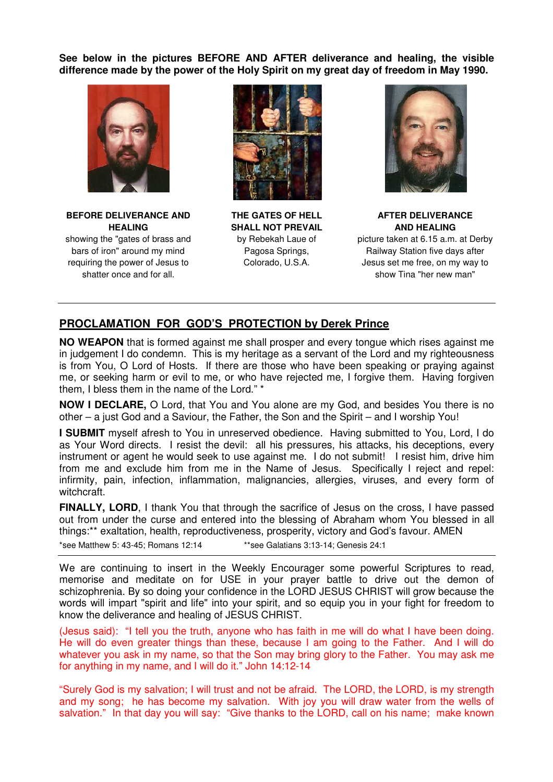**See below in the pictures BEFORE AND AFTER deliverance and healing, the visible difference made by the power of the Holy Spirit on my great day of freedom in May 1990.**



**BEFORE DELIVERANCE AND HEALING** showing the "gates of brass and

bars of iron" around my mind requiring the power of Jesus to shatter once and for all.



**THE GATES OF HELL SHALL NOT PREVAIL**  by Rebekah Laue of Pagosa Springs, Colorado, U.S.A.



**AFTER DELIVERANCE AND HEALING**  picture taken at 6.15 a.m. at Derby Railway Station five days after Jesus set me free, on my way to show Tina "her new man"

## **PROCLAMATION FOR GOD'S PROTECTION by Derek Prince**

**NO WEAPON** that is formed against me shall prosper and every tongue which rises against me in judgement I do condemn. This is my heritage as a servant of the Lord and my righteousness is from You, O Lord of Hosts. If there are those who have been speaking or praying against me, or seeking harm or evil to me, or who have rejected me, I forgive them. Having forgiven them, I bless them in the name of the Lord." \*

**NOW I DECLARE,** O Lord, that You and You alone are my God, and besides You there is no other – a just God and a Saviour, the Father, the Son and the Spirit – and I worship You!

**I SUBMIT** myself afresh to You in unreserved obedience. Having submitted to You, Lord, I do as Your Word directs. I resist the devil: all his pressures, his attacks, his deceptions, every instrument or agent he would seek to use against me. I do not submit! I resist him, drive him from me and exclude him from me in the Name of Jesus. Specifically I reject and repel: infirmity, pain, infection, inflammation, malignancies, allergies, viruses, and every form of witchcraft.

**FINALLY, LORD**, I thank You that through the sacrifice of Jesus on the cross, I have passed out from under the curse and entered into the blessing of Abraham whom You blessed in all things:\*\* exaltation, health, reproductiveness, prosperity, victory and God's favour. AMEN

\*see Matthew 5: 43-45; Romans 12:14 \*\*see Galatians 3:13-14; Genesis 24:1

We are continuing to insert in the Weekly Encourager some powerful Scriptures to read, memorise and meditate on for USE in your prayer battle to drive out the demon of schizophrenia. By so doing your confidence in the LORD JESUS CHRIST will grow because the words will impart "spirit and life" into your spirit, and so equip you in your fight for freedom to know the deliverance and healing of JESUS CHRIST.

(Jesus said): "I tell you the truth, anyone who has faith in me will do what I have been doing. He will do even greater things than these, because I am going to the Father. And I will do whatever you ask in my name, so that the Son may bring glory to the Father. You may ask me for anything in my name, and I will do it." John 14:12-14

"Surely God is my salvation; I will trust and not be afraid. The LORD, the LORD, is my strength and my song; he has become my salvation. With joy you will draw water from the wells of salvation." In that day you will say: "Give thanks to the LORD, call on his name; make known